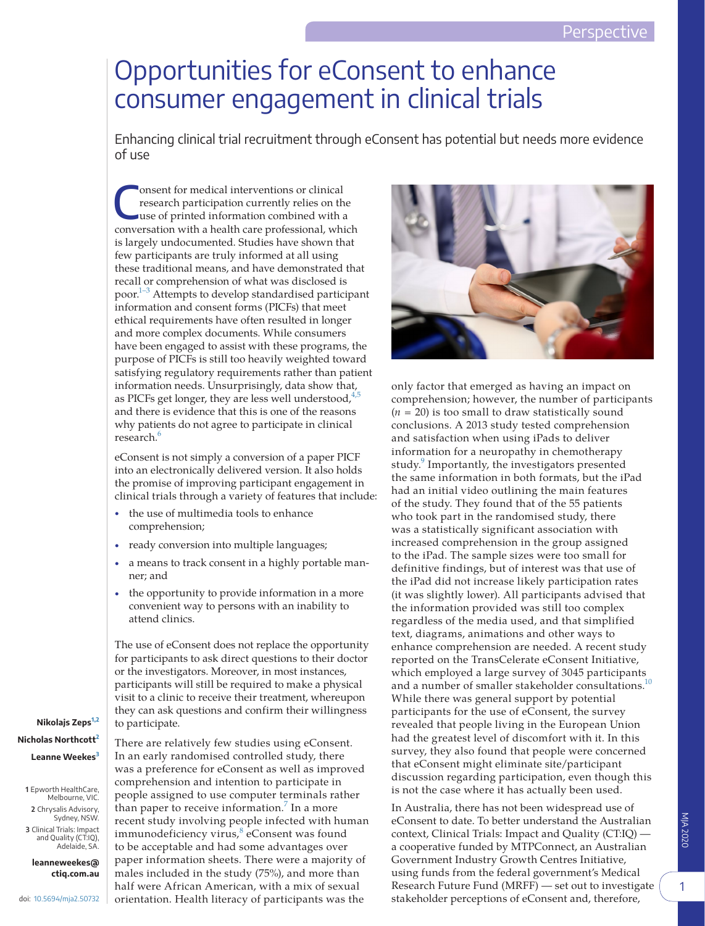## Opportunities for eConsent to enhance consumer engagement in clinical trials

Enhancing clinical trial recruitment through eConsent has potential but needs more evidence of use

Consent for medical interventions or clinical<br>
research participation currently relies on the<br>
use of printed information combined with a<br>
use the printed information combined with a research participation currently relies on the conversation with a health care professional, which is largely undocumented. Studies have shown that few participants are truly informed at all using these traditional means, and have demonstrated that recall or comprehension of what was disclosed is poor[.1–3](#page-3-0) Attempts to develop standardised participant information and consent forms (PICFs) that meet ethical requirements have often resulted in longer and more complex documents. While consumers have been engaged to assist with these programs, the purpose of PICFs is still too heavily weighted toward satisfying regulatory requirements rather than patient information needs. Unsurprisingly, data show that, as PICFs get longer, they are less well understood,  $4.5$ and there is evidence that this is one of the reasons why patients do not agree to participate in clinical research.<sup>6</sup>

eConsent is not simply a conversion of a paper PICF into an electronically delivered version. It also holds the promise of improving participant engagement in clinical trials through a variety of features that include:

- the use of multimedia tools to enhance comprehension;
- ready conversion into multiple languages;
- a means to track consent in a highly portable manner; and
- the opportunity to provide information in a more convenient way to persons with an inability to attend clinics.

The use of eConsent does not replace the opportunity for participants to ask direct questions to their doctor or the investigators. Moreover, in most instances, participants will still be required to make a physical visit to a clinic to receive their treatment, whereupon they can ask questions and confirm their willingness to participate.

**Nikolajs Zeps[1,2](#page-0-0) Nicholas Northcott[2](#page-0-1) Leanne Weekes[3](#page-0-2)**

<span id="page-0-1"></span><span id="page-0-0"></span>**1**  Epworth HealthCare, Melbourne, VIC. **2**  Chrysalis Advisory, Sydney, NSW. **3**  Clinical Trials: Impact and Quality (CT:IQ), Adelaide, SA.

<span id="page-0-2"></span>**leanneweekes@ ctiq.com.au**



There are relatively few studies using eConsent. In an early randomised controlled study, there was a preference for eConsent as well as improved comprehension and intention to participate in people assigned to use computer terminals rather than paper to receive information.<sup>[7](#page-3-3)</sup> In a more recent study involving people infected with human immunodeficiency virus,<sup>[8](#page-3-4)</sup> eConsent was found to be acceptable and had some advantages over paper information sheets. There were a majority of males included in the study (75%), and more than half were African American, with a mix of sexual orientation. Health literacy of participants was the



only factor that emerged as having an impact on comprehension; however, the number of participants  $(n = 20)$  is too small to draw statistically sound conclusions. A 2013 study tested comprehension and satisfaction when using iPads to deliver information for a neuropathy in chemotherapy study.<sup>[9](#page-3-5)</sup> Importantly, the investigators presented the same information in both formats, but the iPad had an initial video outlining the main features of the study. They found that of the 55 patients who took part in the randomised study, there was a statistically significant association with increased comprehension in the group assigned to the iPad. The sample sizes were too small for definitive findings, but of interest was that use of the iPad did not increase likely participation rates (it was slightly lower). All participants advised that the information provided was still too complex regardless of the media used, and that simplified text, diagrams, animations and other ways to enhance comprehension are needed. A recent study reported on the TransCelerate eConsent Initiative, which employed a large survey of 3045 participants and a number of smaller stakeholder consultations.<sup>[10](#page-3-6)</sup> While there was general support by potential participants for the use of eConsent, the survey revealed that people living in the European Union had the greatest level of discomfort with it. In this survey, they also found that people were concerned that eConsent might eliminate site/participant discussion regarding participation, even though this is not the case where it has actually been used.

In Australia, there has not been widespread use of eConsent to date. To better understand the Australian context, Clinical Trials: Impact and Quality (CT:IQ) a cooperative funded by MTPConnect, an Australian Government Industry Growth Centres Initiative, using funds from the federal government's Medical Research Future Fund (MRFF) — set out to investigate stakeholder perceptions of eConsent and, therefore,

1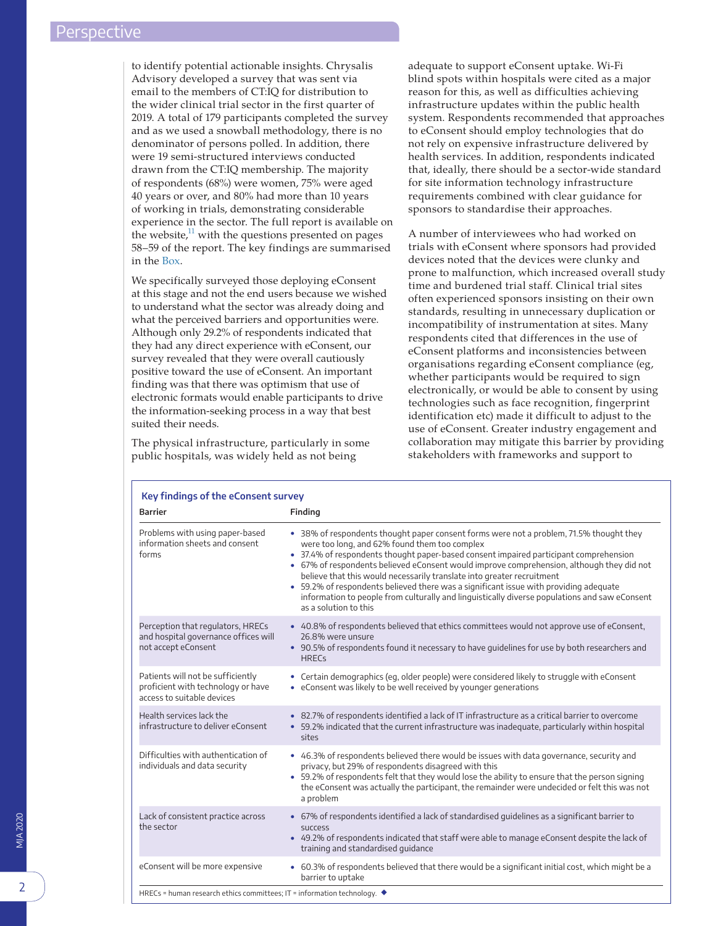to identify potential actionable insights. Chrysalis Advisory developed a survey that was sent via email to the members of CT:IQ for distribution to the wider clinical trial sector in the first quarter of 2019. A total of 179 participants completed the survey and as we used a snowball methodology, there is no denominator of persons polled. In addition, there were 19 semi-structured interviews conducted drawn from the CT:IQ membership. The majority of respondents (68%) were women, 75% were aged 40 years or over, and 80% had more than 10 years of working in trials, demonstrating considerable experience in the sector. The full report is available on the website, $11$  with the questions presented on pages 58–59 of the report. The key findings are summarised in the [Box](#page-1-0).

We specifically surveyed those deploying eConsent at this stage and not the end users because we wished to understand what the sector was already doing and what the perceived barriers and opportunities were. Although only 29.2% of respondents indicated that they had any direct experience with eConsent, our survey revealed that they were overall cautiously positive toward the use of eConsent. An important finding was that there was optimism that use of electronic formats would enable participants to drive the information-seeking process in a way that best suited their needs.

The physical infrastructure, particularly in some public hospitals, was widely held as not being

adequate to support eConsent uptake. Wi-Fi blind spots within hospitals were cited as a major reason for this, as well as difficulties achieving infrastructure updates within the public health system. Respondents recommended that approaches to eConsent should employ technologies that do not rely on expensive infrastructure delivered by health services. In addition, respondents indicated that, ideally, there should be a sector-wide standard for site information technology infrastructure requirements combined with clear guidance for sponsors to standardise their approaches.

A number of interviewees who had worked on trials with eConsent where sponsors had provided devices noted that the devices were clunky and prone to malfunction, which increased overall study time and burdened trial staff. Clinical trial sites often experienced sponsors insisting on their own standards, resulting in unnecessary duplication or incompatibility of instrumentation at sites. Many respondents cited that differences in the use of eConsent platforms and inconsistencies between organisations regarding eConsent compliance (eg, whether participants would be required to sign electronically, or would be able to consent by using technologies such as face recognition, fingerprint identification etc) made it difficult to adjust to the use of eConsent. Greater industry engagement and collaboration may mitigate this barrier by providing stakeholders with frameworks and support to

<span id="page-1-0"></span>

| <b>Barrier</b>                                                                                        | Finding                                                                                                                                                                                                                                                                                                                                                                                                                                                                                                                                                                                                                                |
|-------------------------------------------------------------------------------------------------------|----------------------------------------------------------------------------------------------------------------------------------------------------------------------------------------------------------------------------------------------------------------------------------------------------------------------------------------------------------------------------------------------------------------------------------------------------------------------------------------------------------------------------------------------------------------------------------------------------------------------------------------|
| Problems with using paper-based<br>information sheets and consent<br>forms                            | • 38% of respondents thought paper consent forms were not a problem, 71.5% thought they<br>were too long, and 62% found them too complex<br>• 37.4% of respondents thought paper-based consent impaired participant comprehension<br>• 67% of respondents believed eConsent would improve comprehension, although they did not<br>believe that this would necessarily translate into greater recruitment<br>59.2% of respondents believed there was a significant issue with providing adequate<br>$\bullet$<br>information to people from culturally and linguistically diverse populations and saw eConsent<br>as a solution to this |
| Perception that regulators, HRECs<br>and hospital governance offices will<br>not accept eConsent      | • 40.8% of respondents believed that ethics committees would not approve use of eConsent,<br>26.8% were unsure<br>• 90.5% of respondents found it necessary to have quidelines for use by both researchers and<br><b>HREC<sub>s</sub></b>                                                                                                                                                                                                                                                                                                                                                                                              |
| Patients will not be sufficiently<br>proficient with technology or have<br>access to suitable devices | • Certain demographics (eq, older people) were considered likely to struggle with eConsent<br>• eConsent was likely to be well received by younger generations                                                                                                                                                                                                                                                                                                                                                                                                                                                                         |
| Health services lack the<br>infrastructure to deliver eConsent                                        | • 82.7% of respondents identified a lack of IT infrastructure as a critical barrier to overcome<br>• 59.2% indicated that the current infrastructure was inadequate, particularly within hospital<br>sites                                                                                                                                                                                                                                                                                                                                                                                                                             |
| Difficulties with authentication of<br>individuals and data security                                  | • 46.3% of respondents believed there would be issues with data governance, security and<br>privacy, but 29% of respondents disagreed with this<br>• 59.2% of respondents felt that they would lose the ability to ensure that the person signing<br>the eConsent was actually the participant, the remainder were undecided or felt this was not<br>a problem                                                                                                                                                                                                                                                                         |
| Lack of consistent practice across<br>the sector                                                      | • 67% of respondents identified a lack of standardised quidelines as a significant barrier to<br><b>SUCCeSS</b><br>• 49.2% of respondents indicated that staff were able to manage eConsent despite the lack of<br>training and standardised quidance                                                                                                                                                                                                                                                                                                                                                                                  |
| eConsent will be more expensive                                                                       | • 60.3% of respondents believed that there would be a significant initial cost, which might be a<br>barrier to uptake                                                                                                                                                                                                                                                                                                                                                                                                                                                                                                                  |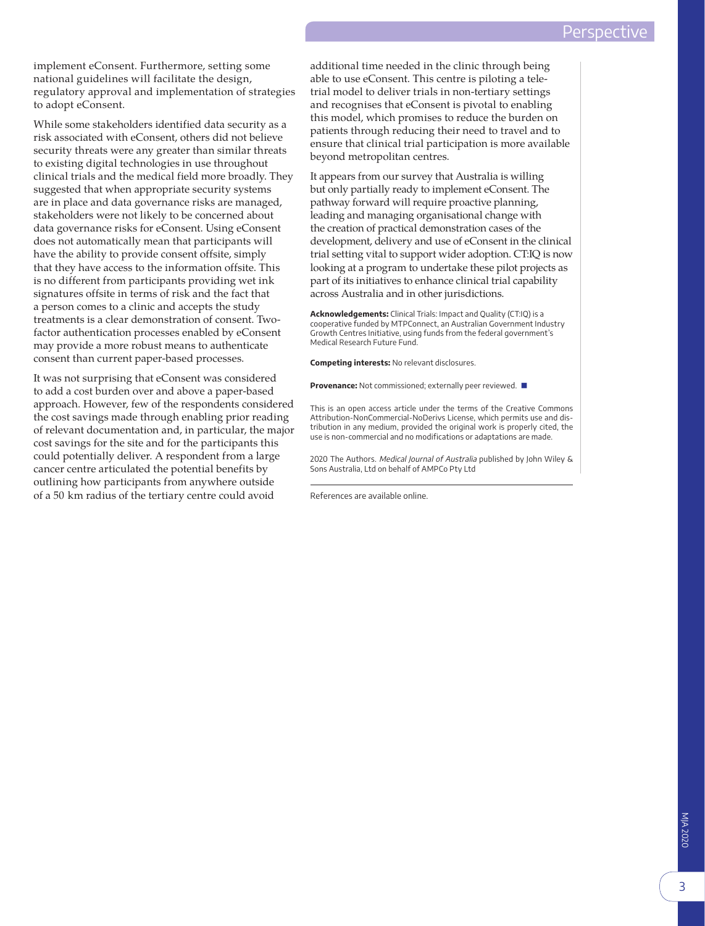implement eConsent. Furthermore, setting some national guidelines will facilitate the design, regulatory approval and implementation of strategies to adopt eConsent.

While some stakeholders identified data security as a risk associated with eConsent, others did not believe security threats were any greater than similar threats to existing digital technologies in use throughout clinical trials and the medical field more broadly. They suggested that when appropriate security systems are in place and data governance risks are managed, stakeholders were not likely to be concerned about data governance risks for eConsent. Using eConsent does not automatically mean that participants will have the ability to provide consent offsite, simply that they have access to the information offsite. This is no different from participants providing wet ink signatures offsite in terms of risk and the fact that a person comes to a clinic and accepts the study treatments is a clear demonstration of consent. Twofactor authentication processes enabled by eConsent may provide a more robust means to authenticate consent than current paper-based processes.

It was not surprising that eConsent was considered to add a cost burden over and above a paper-based approach. However, few of the respondents considered the cost savings made through enabling prior reading of relevant documentation and, in particular, the major cost savings for the site and for the participants this could potentially deliver. A respondent from a large cancer centre articulated the potential benefits by outlining how participants from anywhere outside of a 50 km radius of the tertiary centre could avoid

additional time needed in the clinic through being able to use eConsent. This centre is piloting a teletrial model to deliver trials in non-tertiary settings and recognises that eConsent is pivotal to enabling this model, which promises to reduce the burden on patients through reducing their need to travel and to ensure that clinical trial participation is more available beyond metropolitan centres.

It appears from our survey that Australia is willing but only partially ready to implement eConsent. The pathway forward will require proactive planning, leading and managing organisational change with the creation of practical demonstration cases of the development, delivery and use of eConsent in the clinical trial setting vital to support wider adoption. CT:IQ is now looking at a program to undertake these pilot projects as part of its initiatives to enhance clinical trial capability across Australia and in other jurisdictions.

**Acknowledgements:** Clinical Trials: Impact and Quality (CT:IQ) is a cooperative funded by MTPConnect, an Australian Government Industry Growth Centres Initiative, using funds from the federal government's Medical Research Future Fund.

**Competing interests:** No relevant disclosures.

**Provenance:** Not commissioned; externally peer reviewed. ■

This is an open access article under the terms of the Creative Commons Attribution-NonCommercial-NoDerivs License, which permits use and distribution in any medium, provided the original work is properly cited, the use is non-commercial and no modifications or adaptations are made.

2020 The Authors. Medical Journal of Australia published by John Wiley & Sons Australia, Ltd on behalf of AMPCo Pty Ltd

References are available online.